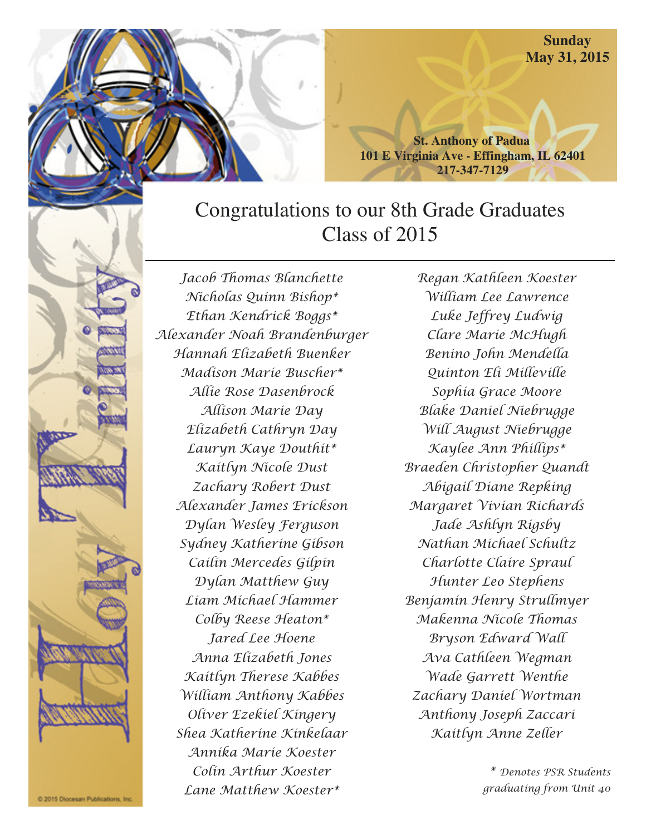**Sunday May 31, 2015** 

**St. Anthony of Padua 101 E Virginia Ave - Effingham, IL 62401 217-347-7129** 

# Congratulations to our 8th Grade Graduates Class of 2015

Jacob Thomas Blanchette Nicholas Quinn Bishop\* Ethan Kendrick Boggs\* Alexander Noah Brandenburger Hannah Elizabeth Buenker Madison Marie Buscher\* Allie Rose Dasenbrock Allison Marie Day Elizabeth Cathryn Day Lauryn Kaye Douthit\* Kaitlyn Nicole Dust Zachary Robert Dust Alexander James Erickson Dylan Wesley Ferguson Sydney Katherine Gibson Cailin Mercedes Gilpin Dylan Matthew Guy Liam Michael Hammer Colby Reese Heaton\* Jared Lee Hoene Anna Elizabeth Jones Kaitlyn Therese Kabbes William Anthony Kabbes Oliver Ezekiel Kingery Shea Katherine Kinkelaar Annika Marie Koester Colin Arthur Koester Lane Matthew Koester\*

Regan Kathleen Koester William Lee Lawrence Luke Jeffrey Ludwig Clare Marie McHugh Benino John Mendella Quinton Eli Milleville Sophia Grace Moore Blake Daniel Niebrugge Will August Niebrugge Kaylee Ann Phillips\* Braeden Christopher Quandt Abigail Diane Repking Margaret Vivian Richards Jade Ashlyn Rigsby Nathan Michael Schultz Charlotte Claire Spraul Hunter Leo Stephens Benjamin Henry Strullmyer Makenna Nicole Thomas Bryson Edward Wall Ava Cathleen Wegman Wade Garrett Wenthe Zachary Daniel Wortman Anthony Joseph Zaccari Kaitlyn Anne Zeller

> \* Denotes PSR Students graduating from Unit 40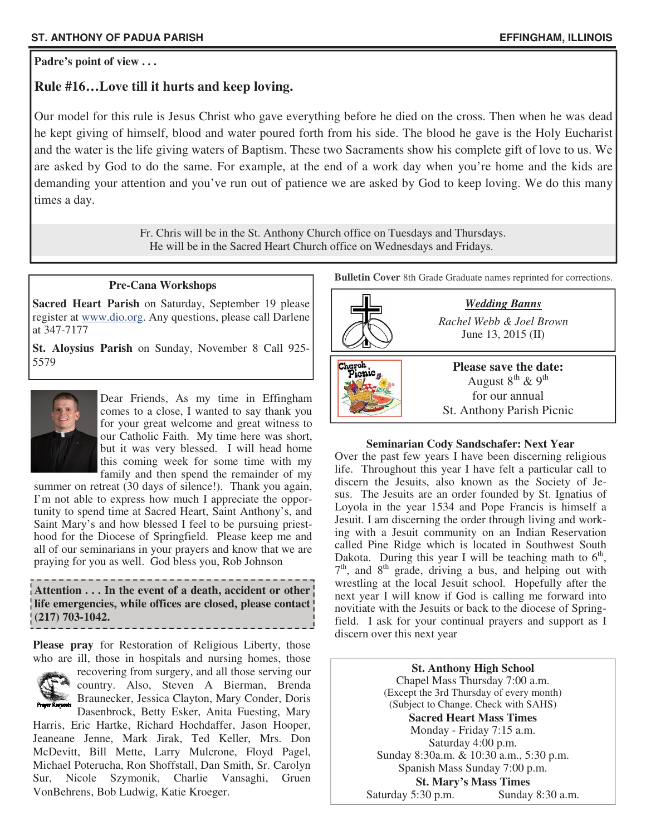#### **Padre's point of view . . .**

## **Rule #16…Love till it hurts and keep loving.**

Our model for this rule is Jesus Christ who gave everything before he died on the cross. Then when he was dead he kept giving of himself, blood and water poured forth from his side. The blood he gave is the Holy Eucharist and the water is the life giving waters of Baptism. These two Sacraments show his complete gift of love to us. We are asked by God to do the same. For example, at the end of a work day when you're home and the kids are demanding your attention and you've run out of patience we are asked by God to keep loving. We do this many times a day.

> Fr. Chris will be in the St. Anthony Church office on Tuesdays and Thursdays. He will be in the Sacred Heart Church office on Wednesdays and Fridays.

#### **Pre-Cana Workshops**

**Sacred Heart Parish** on Saturday, September 19 please register at www.dio.org. Any questions, please call Darlene at 347-7177

**St. Aloysius Parish** on Sunday, November 8 Call 925-



Dear Friends, As my time in Effingham comes to a close, I wanted to say thank you for your great welcome and great witness to our Catholic Faith. My time here was short, but it was very blessed. I will head home this coming week for some time with my family and then spend the remainder of my

summer on retreat (30 days of silence!). Thank you again, I'm not able to express how much I appreciate the opportunity to spend time at Sacred Heart, Saint Anthony's, and Saint Mary's and how blessed I feel to be pursuing priesthood for the Diocese of Springfield. Please keep me and all of our seminarians in your prayers and know that we are praying for you as well. God bless you, Rob Johnson

**Attention . . . In the event of a death, accident or other life emergencies, while offices are closed, please contact (217) 703-1042.** 

**Please pray** for Restoration of Religious Liberty, those who are ill, those in hospitals and nursing homes, those



recovering from surgery, and all those serving our country. Also, Steven A Bierman, Brenda

Braunecker, Jessica Clayton, Mary Conder, Doris Dasenbrock, Betty Esker, Anita Fuesting, Mary

Harris, Eric Hartke, Richard Hochdaffer, Jason Hooper, Jeaneane Jenne, Mark Jirak, Ted Keller, Mrs. Don McDevitt, Bill Mette, Larry Mulcrone, Floyd Pagel, Michael Poterucha, Ron Shoffstall, Dan Smith, Sr. Carolyn Sur, Nicole Szymonik, Charlie Vansaghi, Gruen VonBehrens, Bob Ludwig, Katie Kroeger.

**Bulletin Cover** 8th Grade Graduate names reprinted for corrections.



#### **Seminarian Cody Sandschafer: Next Year**

Over the past few years I have been discerning religious life. Throughout this year I have felt a particular call to discern the Jesuits, also known as the Society of Jesus. The Jesuits are an order founded by St. Ignatius of Loyola in the year 1534 and Pope Francis is himself a Jesuit. I am discerning the order through living and working with a Jesuit community on an Indian Reservation called Pine Ridge which is located in Southwest South Dakota. During this year I will be teaching math to  $6<sup>th</sup>$ , 7<sup>th</sup>, and 8<sup>th</sup> grade, driving a bus, and helping out with wrestling at the local Jesuit school. Hopefully after the next year I will know if God is calling me forward into novitiate with the Jesuits or back to the diocese of Springfield. I ask for your continual prayers and support as I discern over this next year

**St. Anthony High School**  Chapel Mass Thursday 7:00 a.m. (Except the 3rd Thursday of every month) (Subject to Change. Check with SAHS) **Sacred Heart Mass Times**  Monday - Friday 7:15 a.m. Saturday 4:00 p.m. Sunday 8:30a.m. & 10:30 a.m., 5:30 p.m. Spanish Mass Sunday 7:00 p.m. **St. Mary's Mass Times**<br> **Sunday 8:30 a.m.**<br> **Sunday 8:30 a.m.** Saturday 5:30 p.m.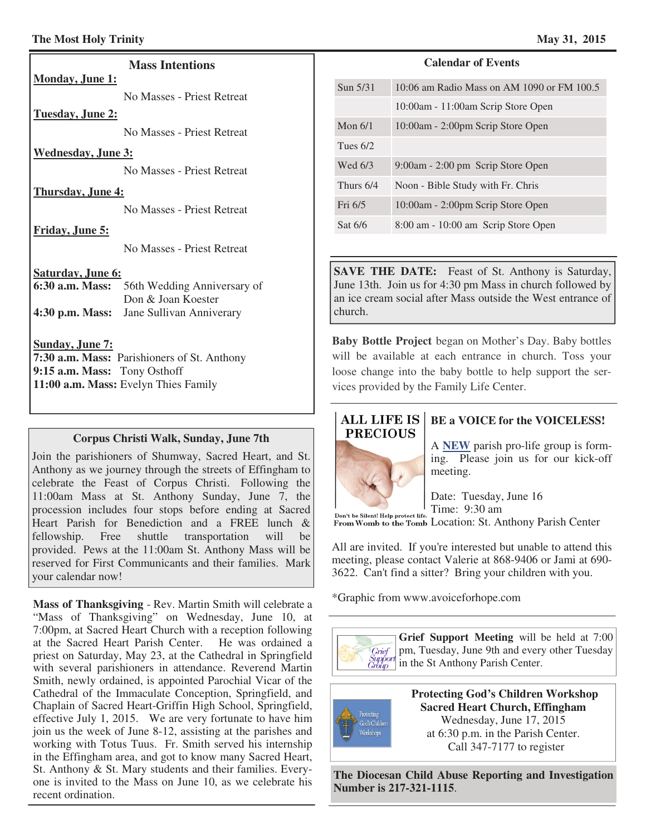#### **The Most Holy Trinity May 31, 2015 May 31, 2015**

#### **Mass Intentions**

No Masses - Priest Retreat

#### **Tuesday, June 2:**

**Monday, June 1:** 

No Masses - Priest Retreat

#### **Wednesday, June 3:**

No Masses - Priest Retreat

#### **Thursday, June 4:**

No Masses - Priest Retreat

#### **Friday, June 5:**

No Masses - Priest Retreat

#### **Saturday, June 6:**

| 6:30 a.m. Mass: 56th Wedding Anniversary of |
|---------------------------------------------|
| Don & Joan Koester                          |
| 4:30 p.m. Mass: Jane Sullivan Anniverary    |

#### **Sunday, June 7:**

**7:30 a.m. Mass:** Parishioners of St. Anthony **9:15 a.m. Mass:** Tony Osthoff **11:00 a.m. Mass:** Evelyn Thies Family

#### **Corpus Christi Walk, Sunday, June 7th**

Join the parishioners of Shumway, Sacred Heart, and St. Anthony as we journey through the streets of Effingham to celebrate the Feast of Corpus Christi. Following the 11:00am Mass at St. Anthony Sunday, June 7, the procession includes four stops before ending at Sacred Heart Parish for Benediction and a FREE lunch & fellowship. Free shuttle transportation will be provided. Pews at the 11:00am St. Anthony Mass will be reserved for First Communicants and their families. Mark your calendar now!

**Mass of Thanksgiving** - Rev. Martin Smith will celebrate a "Mass of Thanksgiving" on Wednesday, June 10, at 7:00pm, at Sacred Heart Church with a reception following at the Sacred Heart Parish Center. He was ordained a priest on Saturday, May 23, at the Cathedral in Springfield with several parishioners in attendance. Reverend Martin Smith, newly ordained, is appointed Parochial Vicar of the Cathedral of the Immaculate Conception, Springfield, and Chaplain of Sacred Heart-Griffin High School, Springfield, effective July 1, 2015. We are very fortunate to have him join us the week of June 8-12, assisting at the parishes and working with Totus Tuus. Fr. Smith served his internship in the Effingham area, and got to know many Sacred Heart, St. Anthony & St. Mary students and their families. Everyone is invited to the Mass on June 10, as we celebrate his recent ordination.

#### **Calendar of Events**

| Sun 5/31   | 10:06 am Radio Mass on AM 1090 or FM 100.5 |
|------------|--------------------------------------------|
|            | 10:00am - 11:00am Scrip Store Open         |
| Mon $6/1$  | 10:00am - 2:00pm Scrip Store Open          |
| Tues $6/2$ |                                            |
| Wed 6/3    | $9:00$ am - 2:00 pm Scrip Store Open       |
| Thurs 6/4  | Noon - Bible Study with Fr. Chris          |
| Fri $6/5$  | 10:00am - 2:00pm Scrip Store Open          |
| Sat $6/6$  | 8:00 am - 10:00 am Scrip Store Open        |

**SAVE THE DATE:** Feast of St. Anthony is Saturday, June 13th. Join us for 4:30 pm Mass in church followed by an ice cream social after Mass outside the West entrance of church.

**Baby Bottle Project** began on Mother's Day. Baby bottles will be available at each entrance in church. Toss your loose change into the baby bottle to help support the services provided by the Family Life Center.

## **ALL LIFE IS PRECIOUS**

## **BE a VOICE for the VOICELESS!**

A **NEW** parish pro-life group is forming. Please join us for our kick-off meeting.

Date: Tuesday, June 16 Time: 9:30 am Don't be Silent! Help protect life. 1 IIIIE. 9.50 all<br>From Womb to the Tomb LOCation: St. Anthony Parish Center

All are invited. If you're interested but unable to attend this meeting, please contact Valerie at 868-9406 or Jami at 690- 3622. Can't find a sitter? Bring your children with you.

\*Graphic from www.avoiceforhope.com

**Grief Support Meeting** will be held at 7:00 pm, Tuesday, June 9th and every other Tuesday Grief  $\begin{bmatrix} \text{C} \\ \text{Suppord} \\ \text{Group} \end{bmatrix}$  in the St Anthony Parish Center.



 **Protecting God's Children Workshop Sacred Heart Church, Effingham**  Wednesday, June 17, 2015 at 6:30 p.m. in the Parish Center. Call 347-7177 to register

**The Diocesan Child Abuse Reporting and Investigation Number is 217-321-1115**.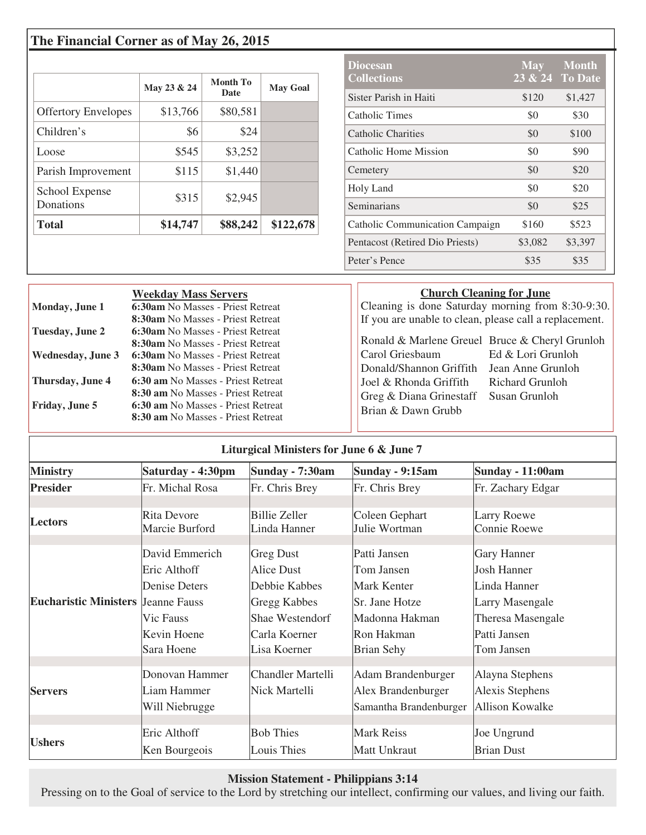## **The Financial Corner as of May 26, 2015**

|                             | May 23 & 24 | Month To<br><b>Date</b> | <b>May Goal</b> |
|-----------------------------|-------------|-------------------------|-----------------|
| <b>Offertory Envelopes</b>  | \$13,766    | \$80,581                |                 |
| Children's                  | \$6         | \$24                    |                 |
| Loose                       | \$545       | \$3,252                 |                 |
| Parish Improvement          | \$115       | \$1,440                 |                 |
| School Expense<br>Donations | \$315       | \$2,945                 |                 |
| <b>Total</b>                | \$14,747    | \$88,242                | \$122,678       |

| <b>Diocesan</b><br><b>Collections</b> | <b>May</b> | <b>Month</b><br>23 & 24 To Date |
|---------------------------------------|------------|---------------------------------|
| Sister Parish in Haiti                | \$120      | \$1,427                         |
| Catholic Times                        | \$0        | \$30                            |
| Catholic Charities                    | \$0        | \$100                           |
| Catholic Home Mission                 | \$0        | \$90                            |
| Cemetery                              | \$0        | \$20                            |
| Holy Land                             | \$0        | \$20                            |
| Seminarians                           | \$0        | \$25                            |
| Catholic Communication Campaign       | \$160      | \$523                           |
| Pentacost (Retired Dio Priests)       | \$3,082    | \$3,397                         |
| Peter's Pence                         | \$35       | \$35                            |

|                                                                                          | <b>Weekday Mass Servers</b>                                                                                                                                                                                                                                               |                                                                                                                                                                         | <b>Church Cleaning for June</b>                                            |
|------------------------------------------------------------------------------------------|---------------------------------------------------------------------------------------------------------------------------------------------------------------------------------------------------------------------------------------------------------------------------|-------------------------------------------------------------------------------------------------------------------------------------------------------------------------|----------------------------------------------------------------------------|
| Monday, June 1                                                                           | 6:30am No Masses - Priest Retreat                                                                                                                                                                                                                                         | Cleaning is done Saturday morning from 8:30-9:30.                                                                                                                       |                                                                            |
|                                                                                          | 8:30am No Masses - Priest Retreat                                                                                                                                                                                                                                         | If you are unable to clean, please call a replacement.                                                                                                                  |                                                                            |
| Tuesday, June 2<br><b>Wednesday, June 3</b><br>Thursday, June 4<br><b>Friday, June 5</b> | 6:30am No Masses - Priest Retreat<br>8:30am No Masses - Priest Retreat<br><b>6:30am</b> No Masses - Priest Retreat<br>8:30am No Masses - Priest Retreat<br>6:30 am No Masses - Priest Retreat<br>8:30 am No Masses - Priest Retreat<br>6:30 am No Masses - Priest Retreat | Ronald & Marlene Greuel Bruce & Cheryl Grunloh<br>Carol Griesbaum<br>Donald/Shannon Griffith<br>Joel & Rhonda Griffith<br>Greg & Diana Grinestaff<br>Brian & Dawn Grubb | Ed & Lori Grunloh<br>Jean Anne Grunloh<br>Richard Grunloh<br>Susan Grunloh |
|                                                                                          | 8:30 am No Masses - Priest Retreat                                                                                                                                                                                                                                        |                                                                                                                                                                         |                                                                            |

| Liturgical Ministers for June 6 & June 7  |                                                                                           |                                                                                                                            |                                                                                                                  |                                                                                                                                |
|-------------------------------------------|-------------------------------------------------------------------------------------------|----------------------------------------------------------------------------------------------------------------------------|------------------------------------------------------------------------------------------------------------------|--------------------------------------------------------------------------------------------------------------------------------|
| <b>Ministry</b>                           | Saturday - 4:30pm                                                                         | Sunday - 7:30am                                                                                                            | Sunday - 9:15am                                                                                                  | Sunday - 11:00am                                                                                                               |
| <b>Presider</b>                           | Fr. Michal Rosa                                                                           | Fr. Chris Brey                                                                                                             | Fr. Chris Brey                                                                                                   | Fr. Zachary Edgar                                                                                                              |
| <b>Lectors</b>                            | <b>Rita Devore</b><br>Marcie Burford                                                      | <b>Billie Zeller</b><br>Linda Hanner                                                                                       | Coleen Gephart<br>Julie Wortman                                                                                  | Larry Roewe<br>Connie Roewe                                                                                                    |
| <b>Eucharistic Ministers Jeanne Fauss</b> | David Emmerich<br>Eric Althoff<br>Denise Deters<br>Vic Fauss<br>Kevin Hoene<br>Sara Hoene | <b>Greg Dust</b><br><b>Alice Dust</b><br>Debbie Kabbes<br>Gregg Kabbes<br>Shae Westendorf<br>Carla Koerner<br>Lisa Koerner | Patti Jansen<br>Tom Jansen<br>Mark Kenter<br>Sr. Jane Hotze<br>Madonna Hakman<br>Ron Hakman<br><b>Brian Sehy</b> | Gary Hanner<br><b>Josh Hanner</b><br>Linda Hanner<br><b>Larry Masengale</b><br>Theresa Masengale<br>Patti Jansen<br>Tom Jansen |
| <b>Servers</b>                            | Donovan Hammer<br>Liam Hammer<br>Will Niebrugge                                           | <b>Chandler Martelli</b><br>Nick Martelli                                                                                  | Adam Brandenburger<br>Alex Brandenburger<br>Samantha Brandenburger                                               | Alayna Stephens<br>Alexis Stephens<br><b>Allison Kowalke</b>                                                                   |
| <b>Ushers</b>                             | Eric Althoff<br>Ken Bourgeois                                                             | <b>Bob Thies</b><br>Louis Thies                                                                                            | <b>Mark Reiss</b><br>Matt Unkraut                                                                                | Joe Ungrund<br><b>Brian Dust</b>                                                                                               |

## **Mission Statement - Philippians 3:14**

Pressing on to the Goal of service to the Lord by stretching our intellect, confirming our values, and living our faith.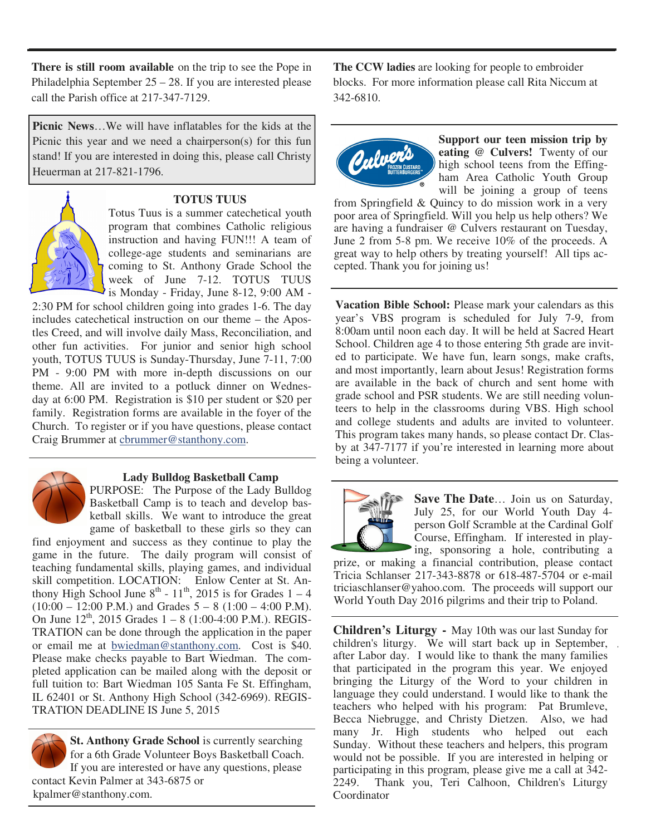**There is still room available** on the trip to see the Pope in Philadelphia September 25 – 28. If you are interested please call the Parish office at 217-347-7129.

**Picnic News**…We will have inflatables for the kids at the Picnic this year and we need a chairperson(s) for this fun stand! If you are interested in doing this, please call Christy Heuerman at 217-821-1796.



#### **TOTUS TUUS**

Totus Tuus is a summer catechetical youth program that combines Catholic religious instruction and having FUN!!! A team of college-age students and seminarians are coming to St. Anthony Grade School the week of June 7-12. TOTUS TUUS is Monday - Friday, June 8-12, 9:00 AM -

2:30 PM for school children going into grades 1-6. The day includes catechetical instruction on our theme – the Apostles Creed, and will involve daily Mass, Reconciliation, and other fun activities. For junior and senior high school youth, TOTUS TUUS is Sunday-Thursday, June 7-11, 7:00 PM - 9:00 PM with more in-depth discussions on our theme. All are invited to a potluck dinner on Wednesday at 6:00 PM. Registration is \$10 per student or \$20 per family. Registration forms are available in the foyer of the Church. To register or if you have questions, please contact Craig Brummer at cbrummer@stanthony.com.



## **Lady Bulldog Basketball Camp**

PURPOSE:The Purpose of the Lady Bulldog Basketball Camp is to teach and develop basketball skills. We want to introduce the great game of basketball to these girls so they can

find enjoyment and success as they continue to play the game in the future. The daily program will consist of teaching fundamental skills, playing games, and individual skill competition. LOCATION:Enlow Center at St. Anthony High School June  $8^{th}$  -  $11^{th}$ , 2015 is for Grades  $1 - 4$  $(10:00 - 12:00 \text{ P.M.})$  and Grades  $5 - 8 (1:00 - 4:00 \text{ P.M.})$ . On June  $12^{th}$ , 2015 Grades  $1 - 8$  (1:00-4:00 P.M.). REGIS-TRATION can be done through the application in the paper or email me at bwiedman@stanthony.com. Cost is \$40. Please make checks payable to Bart Wiedman. The completed application can be mailed along with the deposit or full tuition to: Bart Wiedman 105 Santa Fe St. Effingham, IL 62401 or St. Anthony High School (342-6969). REGIS-TRATION DEADLINE IS June 5, 2015

**St. Anthony Grade School** is currently searching for a 6th Grade Volunteer Boys Basketball Coach. If you are interested or have any questions, please contact Kevin Palmer at 343-6875 or kpalmer@stanthony.com.

**The CCW ladies** are looking for people to embroider blocks. For more information please call Rita Niccum at 342-6810.



**Support our teen mission trip by eating @ Culvers!** Twenty of our high school teens from the Effingham Area Catholic Youth Group will be joining a group of teens

from Springfield & Quincy to do mission work in a very poor area of Springfield. Will you help us help others? We are having a fundraiser @ Culvers restaurant on Tuesday, June 2 from 5-8 pm. We receive 10% of the proceeds. A great way to help others by treating yourself! All tips accepted. Thank you for joining us!

**Vacation Bible School:** Please mark your calendars as this year's VBS program is scheduled for July 7-9, from 8:00am until noon each day. It will be held at Sacred Heart School. Children age 4 to those entering 5th grade are invited to participate. We have fun, learn songs, make crafts, and most importantly, learn about Jesus! Registration forms are available in the back of church and sent home with grade school and PSR students. We are still needing volunteers to help in the classrooms during VBS. High school and college students and adults are invited to volunteer. This program takes many hands, so please contact Dr. Clasby at 347-7177 if you're interested in learning more about being a volunteer.



**Save The Date**… Join us on Saturday, July 25, for our World Youth Day 4 person Golf Scramble at the Cardinal Golf Course, Effingham. If interested in playing, sponsoring a hole, contributing a

prize, or making a financial contribution, please contact Tricia Schlanser 217-343-8878 or 618-487-5704 or e-mail triciaschlanser@yahoo.com. The proceeds will support our World Youth Day 2016 pilgrims and their trip to Poland.

**Children's Liturgy -** May 10th was our last Sunday for children's liturgy. We will start back up in September, after Labor day. I would like to thank the many families that participated in the program this year. We enjoyed bringing the Liturgy of the Word to your children in language they could understand. I would like to thank the teachers who helped with his program: Pat Brumleve, Becca Niebrugge, and Christy Dietzen. Also, we had many Jr. High students who helped out each Sunday. Without these teachers and helpers, this program would not be possible. If you are interested in helping or participating in this program, please give me a call at 342- 2249. Thank you, Teri Calhoon, Children's Liturgy Coordinator